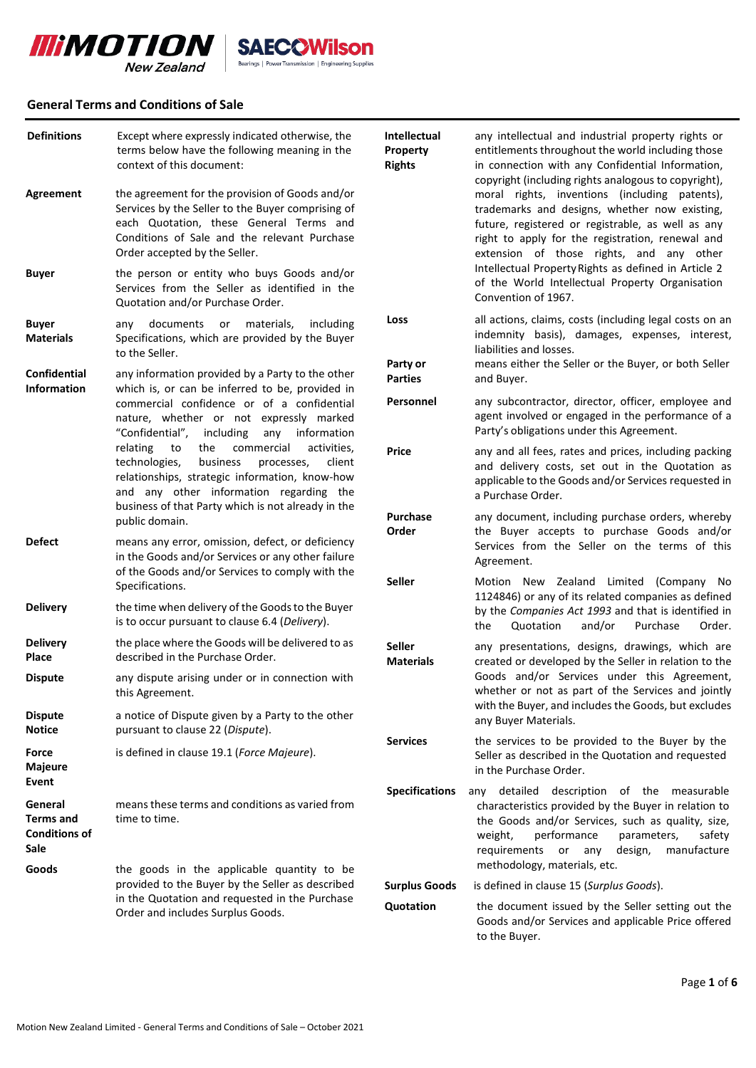

# **General Terms and Conditions of Sale**

| <b>Definitions</b>                                          | Except where expressly indicated otherwise, the<br>terms below have the following meaning in the<br>context of this document:                                                                                                                                                                                                                                                                                                                        | Intellectual<br>Property<br><b>Rights</b>                                                         | any intellectual and industrial property rights or<br>entitlements throughout the world including those<br>in connection with any Confidential Information,<br>copyright (including rights analogous to copyright),                                                                         |
|-------------------------------------------------------------|------------------------------------------------------------------------------------------------------------------------------------------------------------------------------------------------------------------------------------------------------------------------------------------------------------------------------------------------------------------------------------------------------------------------------------------------------|---------------------------------------------------------------------------------------------------|---------------------------------------------------------------------------------------------------------------------------------------------------------------------------------------------------------------------------------------------------------------------------------------------|
| Agreement                                                   | the agreement for the provision of Goods and/or<br>Services by the Seller to the Buyer comprising of<br>each Quotation, these General Terms and<br>Conditions of Sale and the relevant Purchase<br>Order accepted by the Seller.                                                                                                                                                                                                                     |                                                                                                   | moral rights, inventions (including patents),<br>trademarks and designs, whether now existing,<br>future, registered or registrable, as well as any<br>right to apply for the registration, renewal and<br>extension of those rights, and any other                                         |
| <b>Buyer</b>                                                | the person or entity who buys Goods and/or<br>Services from the Seller as identified in the<br>Quotation and/or Purchase Order.                                                                                                                                                                                                                                                                                                                      |                                                                                                   | Intellectual Property Rights as defined in Article 2<br>of the World Intellectual Property Organisation<br>Convention of 1967.                                                                                                                                                              |
| <b>Buyer</b><br><b>Materials</b>                            | documents or materials,<br>including<br>any<br>Specifications, which are provided by the Buyer<br>to the Seller.                                                                                                                                                                                                                                                                                                                                     | Loss                                                                                              | all actions, claims, costs (including legal costs on an<br>indemnity basis), damages, expenses, interest,<br>liabilities and losses.                                                                                                                                                        |
| Confidential<br><b>Information</b>                          | any information provided by a Party to the other<br>which is, or can be inferred to be, provided in<br>commercial confidence or of a confidential<br>nature, whether or not expressly marked<br>"Confidential", including<br>any information<br>relating<br>the<br>commercial<br>activities,<br>to<br>technologies,<br>business<br>processes,<br>client<br>relationships, strategic information, know-how<br>and any other information regarding the | Party or<br><b>Parties</b>                                                                        | means either the Seller or the Buyer, or both Seller<br>and Buyer.                                                                                                                                                                                                                          |
|                                                             |                                                                                                                                                                                                                                                                                                                                                                                                                                                      | Personnel                                                                                         | any subcontractor, director, officer, employee and<br>agent involved or engaged in the performance of a<br>Party's obligations under this Agreement.                                                                                                                                        |
|                                                             |                                                                                                                                                                                                                                                                                                                                                                                                                                                      | <b>Price</b>                                                                                      | any and all fees, rates and prices, including packing<br>and delivery costs, set out in the Quotation as<br>applicable to the Goods and/or Services requested in<br>a Purchase Order.                                                                                                       |
| <b>Defect</b>                                               | business of that Party which is not already in the<br>public domain.<br>means any error, omission, defect, or deficiency<br>in the Goods and/or Services or any other failure<br>of the Goods and/or Services to comply with the<br>Specifications.                                                                                                                                                                                                  | <b>Purchase</b><br>Order                                                                          | any document, including purchase orders, whereby<br>the Buyer accepts to purchase Goods and/or<br>Services from the Seller on the terms of this                                                                                                                                             |
|                                                             |                                                                                                                                                                                                                                                                                                                                                                                                                                                      | <b>Seller</b>                                                                                     | Agreement.<br>Motion New Zealand Limited (Company No                                                                                                                                                                                                                                        |
| <b>Delivery</b>                                             | the time when delivery of the Goods to the Buyer<br>is to occur pursuant to clause 6.4 (Delivery).                                                                                                                                                                                                                                                                                                                                                   |                                                                                                   | 1124846) or any of its related companies as defined<br>by the Companies Act 1993 and that is identified in<br>Quotation<br>and/or<br>Purchase<br>Order.<br>the                                                                                                                              |
| <b>Delivery</b><br>Place                                    | the place where the Goods will be delivered to as<br>described in the Purchase Order.                                                                                                                                                                                                                                                                                                                                                                | <b>Seller</b><br><b>Materials</b>                                                                 | any presentations, designs, drawings, which are<br>created or developed by the Seller in relation to the                                                                                                                                                                                    |
| <b>Dispute</b>                                              | any dispute arising under or in connection with<br>this Agreement.                                                                                                                                                                                                                                                                                                                                                                                   | Goods and/or Services under this Agreement,<br>whether or not as part of the Services and jointly |                                                                                                                                                                                                                                                                                             |
| <b>Dispute</b><br><b>Notice</b>                             | a notice of Dispute given by a Party to the other<br>pursuant to clause 22 (Dispute).                                                                                                                                                                                                                                                                                                                                                                |                                                                                                   | with the Buyer, and includes the Goods, but excludes<br>any Buyer Materials.                                                                                                                                                                                                                |
| Force<br>Majeure<br>Event                                   | is defined in clause 19.1 (Force Majeure).                                                                                                                                                                                                                                                                                                                                                                                                           | <b>Services</b>                                                                                   | the services to be provided to the Buyer by the<br>Seller as described in the Quotation and requested<br>in the Purchase Order.                                                                                                                                                             |
| General<br><b>Terms and</b><br><b>Conditions of</b><br>Sale | means these terms and conditions as varied from<br>time to time.                                                                                                                                                                                                                                                                                                                                                                                     | <b>Specifications</b>                                                                             | any detailed description of the measurable<br>characteristics provided by the Buyer in relation to<br>the Goods and/or Services, such as quality, size,<br>performance<br>parameters,<br>safety<br>weight,<br>manufacture<br>requirements or any<br>design,<br>methodology, materials, etc. |
| Goods                                                       | the goods in the applicable quantity to be<br>provided to the Buyer by the Seller as described<br>in the Quotation and requested in the Purchase<br>Order and includes Surplus Goods.                                                                                                                                                                                                                                                                | <b>Surplus Goods</b>                                                                              | is defined in clause 15 (Surplus Goods).                                                                                                                                                                                                                                                    |
|                                                             |                                                                                                                                                                                                                                                                                                                                                                                                                                                      | Quotation                                                                                         | the document issued by the Seller setting out the<br>Goods and/or Services and applicable Price offered<br>to the Buyer.                                                                                                                                                                    |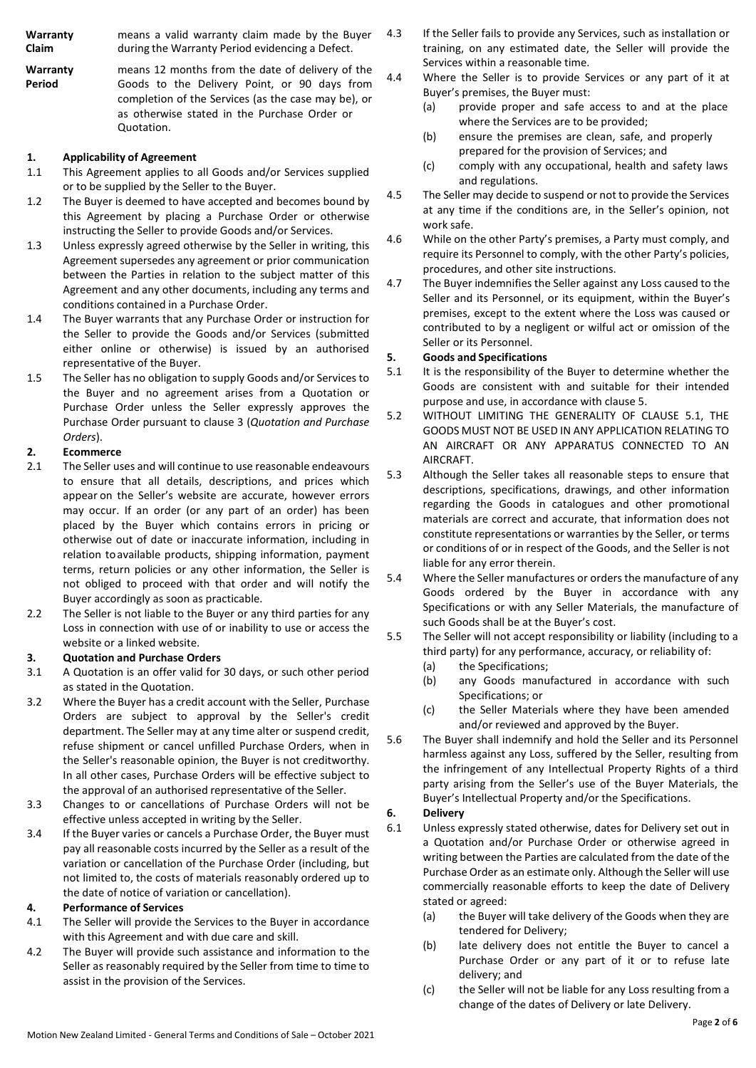| Warranty | means a valid warranty claim made by the Buyer  |
|----------|-------------------------------------------------|
| Claim    | during the Warranty Period evidencing a Defect. |

**Warranty Period** means 12 months from the date of delivery of the Goods to the Delivery Point, or 90 days from completion of the Services (as the case may be), or as otherwise stated in the Purchase Order or Quotation.

### **1. Applicability of Agreement**

- 1.1 This Agreement applies to all Goods and/or Services supplied or to be supplied by the Seller to the Buyer.
- 1.2 The Buyer is deemed to have accepted and becomes bound by this Agreement by placing a Purchase Order or otherwise instructing the Seller to provide Goods and/or Services.
- 1.3 Unless expressly agreed otherwise by the Seller in writing, this Agreement supersedes any agreement or prior communication between the Parties in relation to the subject matter of this Agreement and any other documents, including any terms and conditions contained in a Purchase Order.
- 1.4 The Buyer warrants that any Purchase Order or instruction for the Seller to provide the Goods and/or Services (submitted either online or otherwise) is issued by an authorised representative of the Buyer.
- 1.5 The Seller has no obligation to supply Goods and/or Services to the Buyer and no agreement arises from a Quotation or Purchase Order unless the Seller expressly approves the Purchase Order pursuant to clause [3 \(](#page-1-0)*Quotation and Purchase Orders*).

# **2. Ecommerce**

- The Seller uses and will continue to use reasonable endeavours to ensure that all details, descriptions, and prices which appear on the Seller's website are accurate, however errors may occur. If an order (or any part of an order) has been placed by the Buyer which contains errors in pricing or otherwise out of date or inaccurate information, including in relation to available products, shipping information, payment terms, return policies or any other information, the Seller is not obliged to proceed with that order and will notify the Buyer accordingly as soon as practicable.
- 2.2 The Seller is not liable to the Buyer or any third parties for any Loss in connection with use of or inability to use or access the website or a linked website.

### <span id="page-1-0"></span>**3. Quotation and Purchase Orders**

- 3.1 A Quotation is an offer valid for 30 days, or such other period as stated in the Quotation.
- 3.2 Where the Buyer has a credit account with the Seller, Purchase Orders are subject to approval by the Seller's credit department. The Seller may at any time alter or suspend credit, refuse shipment or cancel unfilled Purchase Orders, when in the Seller's reasonable opinion, the Buyer is not creditworthy. In all other cases, Purchase Orders will be effective subject to the approval of an authorised representative of the Seller.
- 3.3 Changes to or cancellations of Purchase Orders will not be effective unless accepted in writing by the Seller.
- 3.4 If the Buyer varies or cancels a Purchase Order, the Buyer must pay all reasonable costs incurred by the Seller as a result of the variation or cancellation of the Purchase Order (including, but not limited to, the costs of materials reasonably ordered up to the date of notice of variation or cancellation).

### **4. Performance of Services**

- 4.1 The Seller will provide the Services to the Buyer in accordance with this Agreement and with due care and skill.
- 4.2 The Buyer will provide such assistance and information to the Seller as reasonably required by the Seller from time to time to assist in the provision of the Services.
- 4.3 If the Seller fails to provide any Services, such as installation or training, on any estimated date, the Seller will provide the Services within a reasonable time.
- 4.4 Where the Seller is to provide Services or any part of it at Buyer's premises, the Buyer must:
	- (a) provide proper and safe access to and at the place where the Services are to be provided;
	- (b) ensure the premises are clean, safe, and properly prepared for the provision of Services; and
	- (c) comply with any occupational, health and safety laws and regulations.
- 4.5 The Seller may decide to suspend or not to provide the Services at any time if the conditions are, in the Seller's opinion, not work safe.
- 4.6 While on the other Party's premises, a Party must comply, and require its Personnel to comply, with the other Party's policies, procedures, and other site instructions.
- 4.7 The Buyer indemnifies the Seller against any Loss caused to the Seller and its Personnel, or its equipment, within the Buyer's premises, except to the extent where the Loss was caused or contributed to by a negligent or wilful act or omission of the Seller or its Personnel.

### <span id="page-1-1"></span>**5. Goods and Specifications**

- <span id="page-1-2"></span>5.1 It is the responsibility of the Buyer to determine whether the Goods are consistent with and suitable for their intended purpose and use, in accordance with clause [5.](#page-1-1)
- 5.2 WITHOUT LIMITING THE GENERALITY OF CLAUSE [5.1,](#page-1-2) THE GOODS MUST NOT BE USED IN ANY APPLICATION RELATING TO AN AIRCRAFT OR ANY APPARATUS CONNECTED TO AN AIRCRAFT.
- 5.3 Although the Seller takes all reasonable steps to ensure that descriptions, specifications, drawings, and other information regarding the Goods in catalogues and other promotional materials are correct and accurate, that information does not constitute representations or warranties by the Seller, or terms or conditions of or in respect of the Goods, and the Seller is not liable for any error therein.
- 5.4 Where the Seller manufactures or orders the manufacture of any Goods ordered by the Buyer in accordance with any Specifications or with any Seller Materials, the manufacture of such Goods shall be at the Buyer's cost.
- 5.5 The Seller will not accept responsibility or liability (including to a third party) for any performance, accuracy, or reliability of:
	- (a) the Specifications;
	- (b) any Goods manufactured in accordance with such Specifications; or
	- (c) the Seller Materials where they have been amended and/or reviewed and approved by the Buyer.
- 5.6 The Buyer shall indemnify and hold the Seller and its Personnel harmless against any Loss, suffered by the Seller, resulting from the infringement of any Intellectual Property Rights of a third party arising from the Seller's use of the Buyer Materials, the Buyer's Intellectual Property and/or the Specifications.

## <span id="page-1-3"></span>**6. Delivery**

- 6.1 Unless expressly stated otherwise, dates for Delivery set out in a Quotation and/or Purchase Order or otherwise agreed in writing between the Parties are calculated from the date of the Purchase Order as an estimate only. Although the Seller will use commercially reasonable efforts to keep the date of Delivery stated or agreed:
	- (a) the Buyer will take delivery of the Goods when they are tendered for Delivery;
	- (b) late delivery does not entitle the Buyer to cancel a Purchase Order or any part of it or to refuse late delivery; and
	- (c) the Seller will not be liable for any Loss resulting from a change of the dates of Delivery or late Delivery.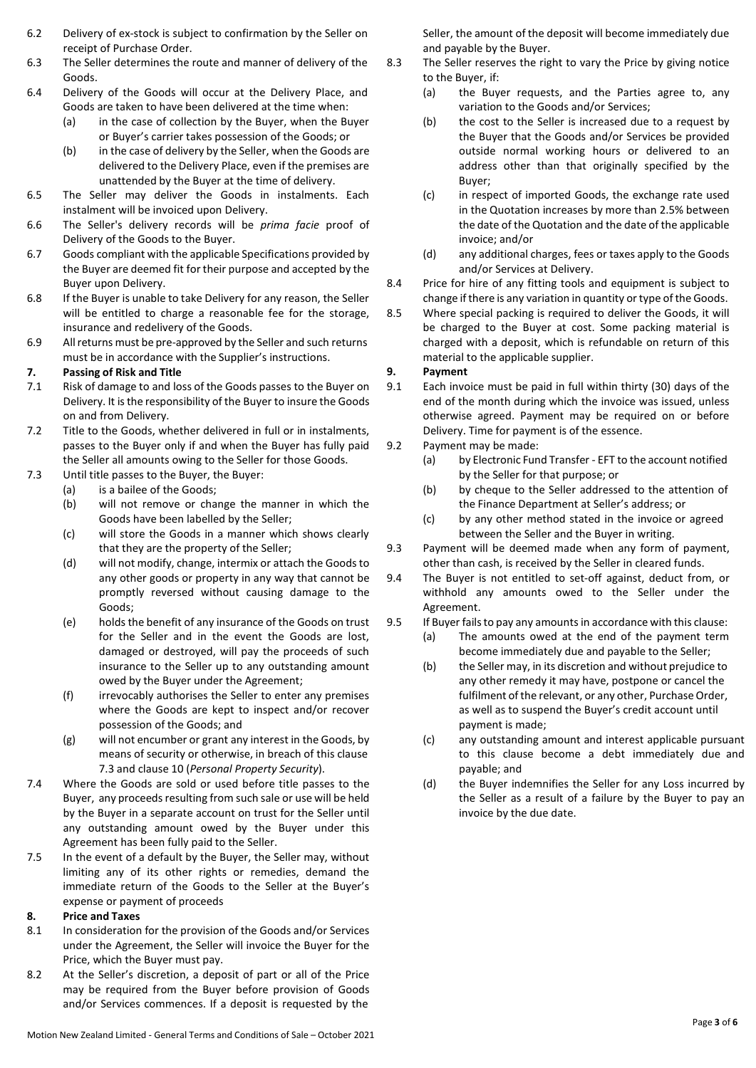- 6.2 Delivery of ex-stock is subject to confirmation by the Seller on receipt of Purchase Order.
- 6.3 The Seller determines the route and manner of delivery of the Goods.
- <span id="page-2-0"></span>6.4 Delivery of the Goods will occur at the Delivery Place, and Goods are taken to have been delivered at the time when:
	- (a) in the case of collection by the Buyer, when the Buyer or Buyer's carrier takes possession of the Goods; or
	- (b) in the case of delivery by the Seller, when the Goods are delivered to the Delivery Place, even if the premises are unattended by the Buyer at the time of delivery.
- 6.5 The Seller may deliver the Goods in instalments. Each instalment will be invoiced upon Delivery.
- 6.6 The Seller's delivery records will be *prima facie* proof of Delivery of the Goods to the Buyer.
- 6.7 Goods compliant with the applicable Specifications provided by the Buyer are deemed fit for their purpose and accepted by the Buyer upon Delivery.
- 6.8 If the Buyer is unable to take Delivery for any reason, the Seller will be entitled to charge a reasonable fee for the storage, insurance and redelivery of the Goods.
- 6.9 Allreturns must be pre-approved by the Seller and such returns must be in accordance with the Supplier's instructions.

# <span id="page-2-2"></span>**7. Passing of Risk and Title**

- 7.1 Risk of damage to and loss of the Goods passes to the Buyer on Delivery. It isthe responsibility of the Buyer to insure the Goods on and from Delivery.
- 7.2 Title to the Goods, whether delivered in full or in instalments, passes to the Buyer only if and when the Buyer has fully paid the Seller all amounts owing to the Seller for those Goods.
- <span id="page-2-1"></span>7.3 Until title passes to the Buyer, the Buyer:
	- (a) is a bailee of the Goods;
	- (b) will not remove or change the manner in which the Goods have been labelled by the Seller;
	- (c) will store the Goods in a manner which shows clearly that they are the property of the Seller;
	- (d) will not modify, change, intermix or attach the Goodsto any other goods or property in any way that cannot be promptly reversed without causing damage to the Goods;
	- (e) holdsthe benefit of any insurance of the Goods on trust for the Seller and in the event the Goods are lost, damaged or destroyed, will pay the proceeds of such insurance to the Seller up to any outstanding amount owed by the Buyer under the Agreement;
	- (f) irrevocably authorises the Seller to enter any premises where the Goods are kept to inspect and/or recover possession of the Goods; and
	- (g) will not encumber or grant any interest in the Goods, by means of security or otherwise, in breach of this clause [7.3](#page-2-1) and clause [10](#page-3-0) (*Personal Property Security*).
- 7.4 Where the Goods are sold or used before title passes to the Buyer, any proceeds resulting from such sale or use will be held by the Buyer in a separate account on trust for the Seller until any outstanding amount owed by the Buyer under this Agreement has been fully paid to the Seller.
- 7.5 In the event of a default by the Buyer, the Seller may, without limiting any of its other rights or remedies, demand the immediate return of the Goods to the Seller at the Buyer's expense or payment of proceeds

# **8. Price and Taxes**

- 8.1 In consideration for the provision of the Goods and/or Services under the Agreement, the Seller will invoice the Buyer for the Price, which the Buyer must pay.
- 8.2 At the Seller's discretion, a deposit of part or all of the Price may be required from the Buyer before provision of Goods and/or Services commences. If a deposit is requested by the

Seller, the amount of the deposit will become immediately due and payable by the Buyer.

- 8.3 The Seller reserves the right to vary the Price by giving notice to the Buyer, if:
	- (a) the Buyer requests, and the Parties agree to, any variation to the Goods and/or Services;
	- (b) the cost to the Seller is increased due to a request by the Buyer that the Goods and/or Services be provided outside normal working hours or delivered to an address other than that originally specified by the Buyer;
	- (c) in respect of imported Goods, the exchange rate used in the Quotation increases by more than 2.5% between the date of the Quotation and the date of the applicable invoice; and/or
	- (d) any additional charges, fees or taxes apply to the Goods and/or Services at Delivery.
- 8.4 Price for hire of any fitting tools and equipment is subject to change if there is any variation in quantity or type of the Goods.
- 8.5 Where special packing is required to deliver the Goods, it will be charged to the Buyer at cost. Some packing material is charged with a deposit, which is refundable on return of this material to the applicable supplier.

# <span id="page-2-3"></span>**9. Payment**

- 9.1 Each invoice must be paid in full within thirty (30) days of the end of the month during which the invoice was issued, unless otherwise agreed. Payment may be required on or before Delivery. Time for payment is of the essence.
- 9.2 Payment may be made:
	- (a) by Electronic Fund Transfer EFT to the account notified by the Seller for that purpose; or
	- (b) by cheque to the Seller addressed to the attention of the Finance Department at Seller's address; or
	- (c) by any other method stated in the invoice or agreed between the Seller and the Buyer in writing.
- 9.3 Payment will be deemed made when any form of payment, other than cash, is received by the Seller in cleared funds.
- 9.4 The Buyer is not entitled to set-off against, deduct from, or withhold any amounts owed to the Seller under the Agreement.
- 9.5 If Buyer failsto pay any amountsin accordance with this clause:
	- (a) The amounts owed at the end of the payment term become immediately due and payable to the Seller;
	- (b) the Seller may, in its discretion and without prejudice to any other remedy it may have, postpone or cancel the fulfilment of the relevant, or any other, Purchase Order, as well as to suspend the Buyer's credit account until payment is made;
	- (c) any outstanding amount and interest applicable pursuant to this clause become a debt immediately due and payable; and
	- (d) the Buyer indemnifies the Seller for any Loss incurred by the Seller as a result of a failure by the Buyer to pay an invoice by the due date.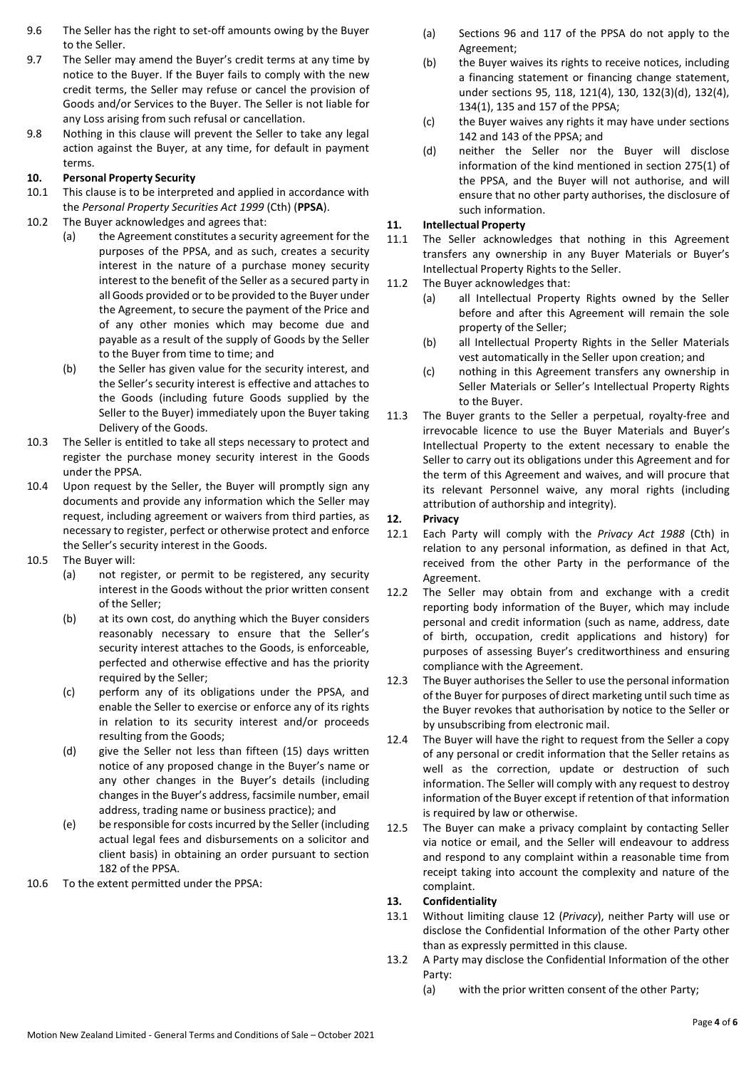- 9.6 The Seller has the right to set-off amounts owing by the Buyer to the Seller.
- 9.7 The Seller may amend the Buyer's credit terms at any time by notice to the Buyer. If the Buyer fails to comply with the new credit terms, the Seller may refuse or cancel the provision of Goods and/or Services to the Buyer. The Seller is not liable for any Loss arising from such refusal or cancellation.
- 9.8 Nothing in this clause will prevent the Seller to take any legal action against the Buyer, at any time, for default in payment terms.

# <span id="page-3-0"></span>**10. Personal Property Security**

- This clause is to be interpreted and applied in accordance with the *Personal Property Securities Act 1999* (Cth) (**PPSA**).
- 10.2 The Buyer acknowledges and agrees that:
	- (a) the Agreement constitutes a security agreement for the purposes of the PPSA, and as such, creates a security interest in the nature of a purchase money security interest to the benefit of the Seller as a secured party in all Goods provided or to be provided to the Buyer under the Agreement, to secure the payment of the Price and of any other monies which may become due and payable as a result of the supply of Goods by the Seller to the Buyer from time to time; and
	- (b) the Seller has given value for the security interest, and the Seller's security interest is effective and attaches to the Goods (including future Goods supplied by the Seller to the Buyer) immediately upon the Buyer taking Delivery of the Goods.
- 10.3 The Seller is entitled to take all steps necessary to protect and register the purchase money security interest in the Goods under the PPSA.
- 10.4 Upon request by the Seller, the Buyer will promptly sign any documents and provide any information which the Seller may request, including agreement or waivers from third parties, as necessary to register, perfect or otherwise protect and enforce the Seller's security interest in the Goods.
- 10.5 The Buyer will:
	- (a) not register, or permit to be registered, any security interest in the Goods without the prior written consent of the Seller;
	- (b) at its own cost, do anything which the Buyer considers reasonably necessary to ensure that the Seller's security interest attaches to the Goods, is enforceable, perfected and otherwise effective and has the priority required by the Seller;
	- (c) perform any of its obligations under the PPSA, and enable the Seller to exercise or enforce any of its rights in relation to its security interest and/or proceeds resulting from the Goods;
	- (d) give the Seller not less than fifteen (15) days written notice of any proposed change in the Buyer's name or any other changes in the Buyer's details (including changes in the Buyer's address, facsimile number, email address, trading name or business practice); and
	- (e) be responsible for costsincurred by the Seller (including actual legal fees and disbursements on a solicitor and client basis) in obtaining an order pursuant to section 182 of the PPSA.
- 10.6 To the extent permitted under the PPSA:
- (a) Sections 96 and 117 of the PPSA do not apply to the Agreement;
- (b) the Buyer waives its rights to receive notices, including a financing statement or financing change statement, under sections 95, 118, 121(4), 130, 132(3)(d), 132(4), 134(1), 135 and 157 of the PPSA;
- (c) the Buyer waives any rights it may have under sections 142 and 143 of the PPSA; and
- (d) neither the Seller nor the Buyer will disclose information of the kind mentioned in section 275(1) of the PPSA, and the Buyer will not authorise, and will ensure that no other party authorises, the disclosure of such information.

### <span id="page-3-2"></span>**11. Intellectual Property**

- 11.1 The Seller acknowledges that nothing in this Agreement transfers any ownership in any Buyer Materials or Buyer's Intellectual Property Rights to the Seller.
- 11.2 The Buyer acknowledges that:
	- (a) all Intellectual Property Rights owned by the Seller before and after this Agreement will remain the sole property of the Seller;
	- (b) all Intellectual Property Rights in the Seller Materials vest automatically in the Seller upon creation; and
	- (c) nothing in this Agreement transfers any ownership in Seller Materials or Seller's Intellectual Property Rights to the Buyer.
- 11.3 The Buyer grants to the Seller a perpetual, royalty-free and irrevocable licence to use the Buyer Materials and Buyer's Intellectual Property to the extent necessary to enable the Seller to carry out its obligations under this Agreement and for the term of this Agreement and waives, and will procure that its relevant Personnel waive, any moral rights (including attribution of authorship and integrity).

#### <span id="page-3-1"></span>**12. Privacy**

- 12.1 Each Party will comply with the *Privacy Act 1988* (Cth) in relation to any personal information, as defined in that Act, received from the other Party in the performance of the Agreement.
- 12.2 The Seller may obtain from and exchange with a credit reporting body information of the Buyer, which may include personal and credit information (such as name, address, date of birth, occupation, credit applications and history) for purposes of assessing Buyer's creditworthiness and ensuring compliance with the Agreement.
- 12.3 The Buyer authorises the Seller to use the personal information of the Buyer for purposes of direct marketing until such time as the Buyer revokes that authorisation by notice to the Seller or by unsubscribing from electronic mail.
- 12.4 The Buyer will have the right to request from the Seller a copy of any personal or credit information that the Seller retains as well as the correction, update or destruction of such information. The Seller will comply with any request to destroy information of the Buyer except if retention of that information is required by law or otherwise.
- 12.5 The Buyer can make a privacy complaint by contacting Seller via notice or email, and the Seller will endeavour to address and respond to any complaint within a reasonable time from receipt taking into account the complexity and nature of the complaint.

#### <span id="page-3-3"></span>**13. Confidentiality**

- 13.1 Without limiting clause [12 \(](#page-3-1)*Privacy*), neither Party will use or disclose the Confidential Information of the other Party other than as expressly permitted in this clause.
- 13.2 A Party may disclose the Confidential Information of the other Party:
	- (a) with the prior written consent of the other Party;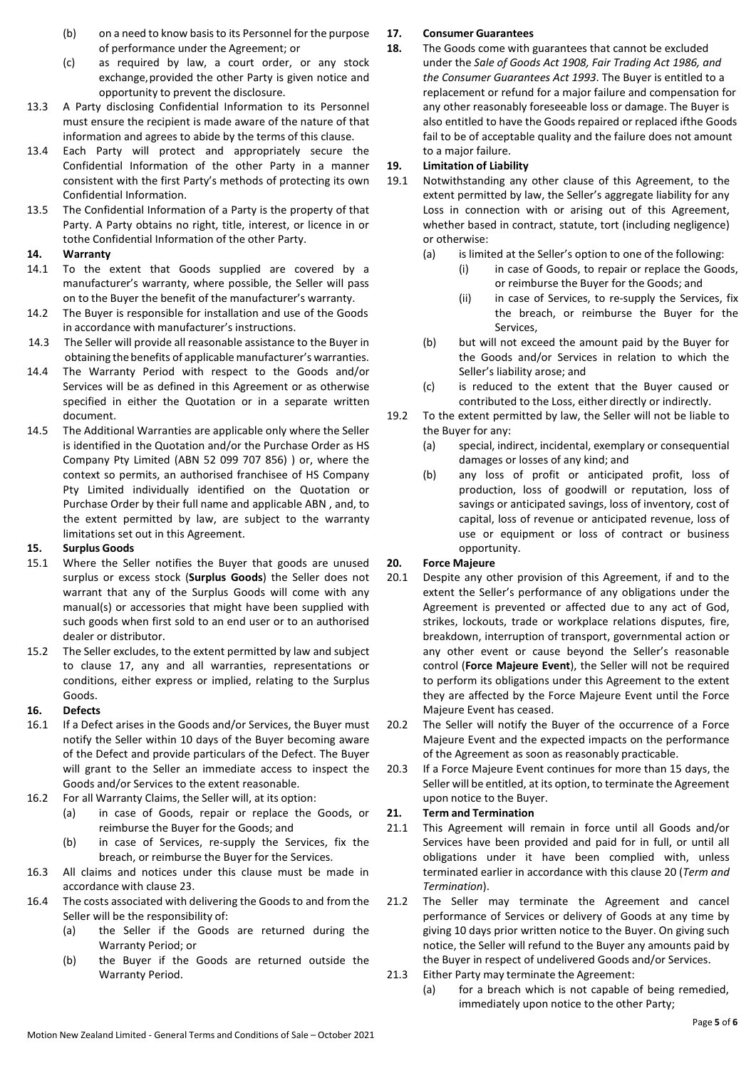- (b) on a need to know basisto its Personnel for the purpose of performance under the Agreement; or
- (c) as required by law, a court order, or any stock exchange,provided the other Party is given notice and opportunity to prevent the disclosure.
- 13.3 A Party disclosing Confidential Information to its Personnel must ensure the recipient is made aware of the nature of that information and agrees to abide by the terms of this clause.
- 13.4 Each Party will protect and appropriately secure the Confidential Information of the other Party in a manner consistent with the first Party's methods of protecting its own Confidential Information.
- 13.5 The Confidential Information of a Party is the property of that Party. A Party obtains no right, title, interest, or licence in or tothe Confidential Information of the other Party.

#### **14. Warranty**

- 14.1 To the extent that Goods supplied are covered by a manufacturer's warranty, where possible, the Seller will pass on to the Buyer the benefit of the manufacturer's warranty.
- 14.2 The Buyer is responsible for installation and use of the Goods in accordance with manufacturer's instructions.
- 14.3 The Seller will provide all reasonable assistance to the Buyer in obtaining the benefits of applicable manufacturer's warranties.
- 14.4 The Warranty Period with respect to the Goods and/or Services will be as defined in this Agreement or as otherwise specified in either the Quotation or in a separate written document.
- 14.5 The Additional Warranties are applicable only where the Seller is identified in the Quotation and/or the Purchase Order as HS Company Pty Limited (ABN 52 099 707 856) ) or, where the context so permits, an authorised franchisee of HS Company Pty Limited individually identified on the Quotation or Purchase Order by their full name and applicable ABN , and, to the extent permitted by law, are subject to the warranty limitations set out in this Agreement.

### <span id="page-4-0"></span>**15. Surplus Goods**

- 15.1 Where the Seller notifies the Buyer that goods are unused surplus or excess stock (**Surplus Goods**) the Seller does not warrant that any of the Surplus Goods will come with any manual(s) or accessories that might have been supplied with such goods when first sold to an end user or to an authorised dealer or distributor.
- 15.2 The Seller excludes, to the extent permitted by law and subject to clause [17,](#page-4-2) any and all warranties, representations or conditions, either express or implied, relating to the Surplus Goods.

#### **16. Defects**

- 16.1 If a Defect arises in the Goods and/or Services, the Buyer must notify the Seller within 10 days of the Buyer becoming aware of the Defect and provide particulars of the Defect. The Buyer will grant to the Seller an immediate access to inspect the Goods and/or Services to the extent reasonable.
- 16.2 For all Warranty Claims, the Seller will, at its option:
	- (a) in case of Goods, repair or replace the Goods, or reimburse the Buyer for the Goods; and
	- (b) in case of Services, re-supply the Services, fix the breach, or reimburse the Buyer for the Services.
- 16.3 All claims and notices under this clause must be made in accordance with claus[e 23.](#page-5-1)
- <span id="page-4-2"></span>16.4 The costs associated with delivering the Goods to and from the Seller will be the responsibility of:
	- (a) the Seller if the Goods are returned during the Warranty Period; or
	- (b) the Buyer if the Goods are returned outside the Warranty Period.

## **17. Consumer Guarantees**

<span id="page-4-4"></span>**18.** The Goods come with guarantees that cannot be excluded under the *Sale of Goods Act 1908, Fair Trading Act 1986, and the Consumer Guarantees Act 1993*. The Buyer is entitled to a replacement or refund for a major failure and compensation for any other reasonably foreseeable loss or damage. The Buyer is also entitled to have the Goods repaired or replaced ifthe Goods fail to be of acceptable quality and the failure does not amount to a major failure.

## **19. Limitation of Liability**

- 19.1 Notwithstanding any other clause of this Agreement, to the extent permitted by law, the Seller's aggregate liability for any Loss in connection with or arising out of this Agreement, whether based in contract, statute, tort (including negligence) or otherwise:
	- (a) is limited at the Seller's option to one of the following:
		- (i) in case of Goods, to repair or replace the Goods, or reimburse the Buyer for the Goods; and
		- (ii) in case of Services, to re-supply the Services, fix the breach, or reimburse the Buyer for the Services,
	- (b) but will not exceed the amount paid by the Buyer for the Goods and/or Services in relation to which the Seller's liability arose; and
	- (c) is reduced to the extent that the Buyer caused or contributed to the Loss, either directly or indirectly.
- 19.2 To the extent permitted by law, the Seller will not be liable to the Buyer for any:
	- (a) special, indirect, incidental, exemplary or consequential damages or losses of any kind; and
	- (b) any loss of profit or anticipated profit, loss of production, loss of goodwill or reputation, loss of savings or anticipated savings, loss of inventory, cost of capital, loss of revenue or anticipated revenue, loss of use or equipment or loss of contract or business opportunity.

## **20. Force Majeure**

- <span id="page-4-1"></span>20.1 Despite any other provision of this Agreement, if and to the extent the Seller's performance of any obligations under the Agreement is prevented or affected due to any act of God, strikes, lockouts, trade or workplace relations disputes, fire, breakdown, interruption of transport, governmental action or any other event or cause beyond the Seller's reasonable control (**Force Majeure Event**), the Seller will not be required to perform its obligations under this Agreement to the extent they are affected by the Force Majeure Event until the Force Majeure Event has ceased.
- 20.2 The Seller will notify the Buyer of the occurrence of a Force Majeure Event and the expected impacts on the performance of the Agreement as soon as reasonably practicable.
- 20.3 If a Force Majeure Event continues for more than 15 days, the Seller will be entitled, at its option, to terminate the Agreement upon notice to the Buyer.

### <span id="page-4-3"></span>**21. Term and Termination**

- 21.1 This Agreement will remain in force until all Goods and/or Services have been provided and paid for in full, or until all obligations under it have been complied with, unless terminated earlier in accordance with this clause [20](#page-4-3) (*Term and Termination*).
- <span id="page-4-5"></span>21.2 The Seller may terminate the Agreement and cancel performance of Services or delivery of Goods at any time by giving 10 days prior written notice to the Buyer. On giving such notice, the Seller will refund to the Buyer any amounts paid by the Buyer in respect of undelivered Goods and/or Services.
- <span id="page-4-6"></span>21.3 Either Party may terminate the Agreement:
	- (a) for a breach which is not capable of being remedied, immediately upon notice to the other Party;